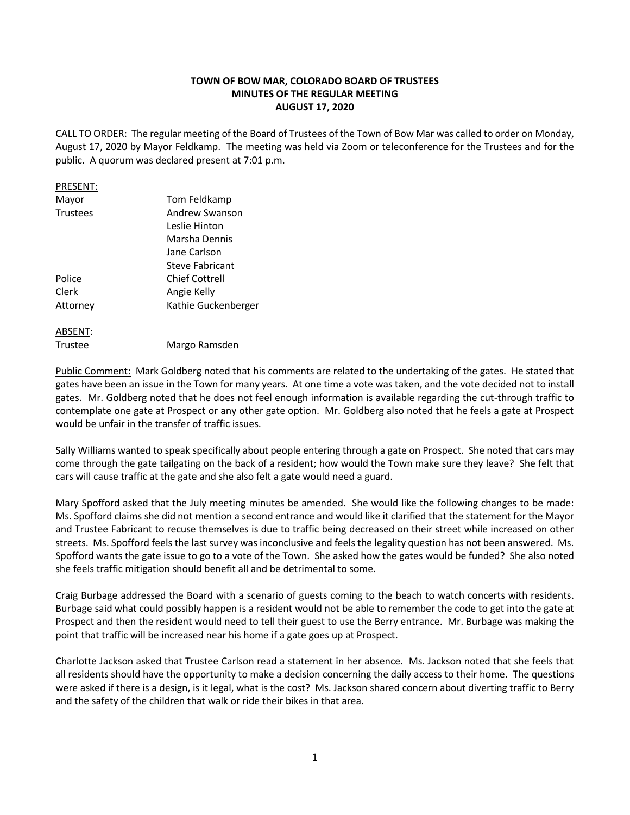# **TOWN OF BOW MAR, COLORADO BOARD OF TRUSTEES MINUTES OF THE REGULAR MEETING AUGUST 17, 2020**

CALL TO ORDER: The regular meeting of the Board of Trustees of the Town of Bow Mar was called to order on Monday, August 17, 2020 by Mayor Feldkamp. The meeting was held via Zoom or teleconference for the Trustees and for the public. A quorum was declared present at 7:01 p.m.

#### PRESENT:

| Mayor    | Tom Feldkamp          |
|----------|-----------------------|
| Trustees | Andrew Swanson        |
|          | Leslie Hinton         |
|          | Marsha Dennis         |
|          | Jane Carlson          |
|          | Steve Fabricant       |
| Police   | <b>Chief Cottrell</b> |
| Clerk    | Angie Kelly           |
| Attorney | Kathie Guckenberger   |
|          |                       |
|          |                       |

ABSENT:

Trustee Margo Ramsden

Public Comment: Mark Goldberg noted that his comments are related to the undertaking of the gates. He stated that gates have been an issue in the Town for many years. At one time a vote was taken, and the vote decided not to install gates. Mr. Goldberg noted that he does not feel enough information is available regarding the cut-through traffic to contemplate one gate at Prospect or any other gate option. Mr. Goldberg also noted that he feels a gate at Prospect would be unfair in the transfer of traffic issues.

Sally Williams wanted to speak specifically about people entering through a gate on Prospect. She noted that cars may come through the gate tailgating on the back of a resident; how would the Town make sure they leave? She felt that cars will cause traffic at the gate and she also felt a gate would need a guard.

Mary Spofford asked that the July meeting minutes be amended. She would like the following changes to be made: Ms. Spofford claims she did not mention a second entrance and would like it clarified that the statement for the Mayor and Trustee Fabricant to recuse themselves is due to traffic being decreased on their street while increased on other streets. Ms. Spofford feels the last survey was inconclusive and feels the legality question has not been answered. Ms. Spofford wants the gate issue to go to a vote of the Town. She asked how the gates would be funded? She also noted she feels traffic mitigation should benefit all and be detrimental to some.

Craig Burbage addressed the Board with a scenario of guests coming to the beach to watch concerts with residents. Burbage said what could possibly happen is a resident would not be able to remember the code to get into the gate at Prospect and then the resident would need to tell their guest to use the Berry entrance. Mr. Burbage was making the point that traffic will be increased near his home if a gate goes up at Prospect.

Charlotte Jackson asked that Trustee Carlson read a statement in her absence. Ms. Jackson noted that she feels that all residents should have the opportunity to make a decision concerning the daily access to their home. The questions were asked if there is a design, is it legal, what is the cost? Ms. Jackson shared concern about diverting traffic to Berry and the safety of the children that walk or ride their bikes in that area.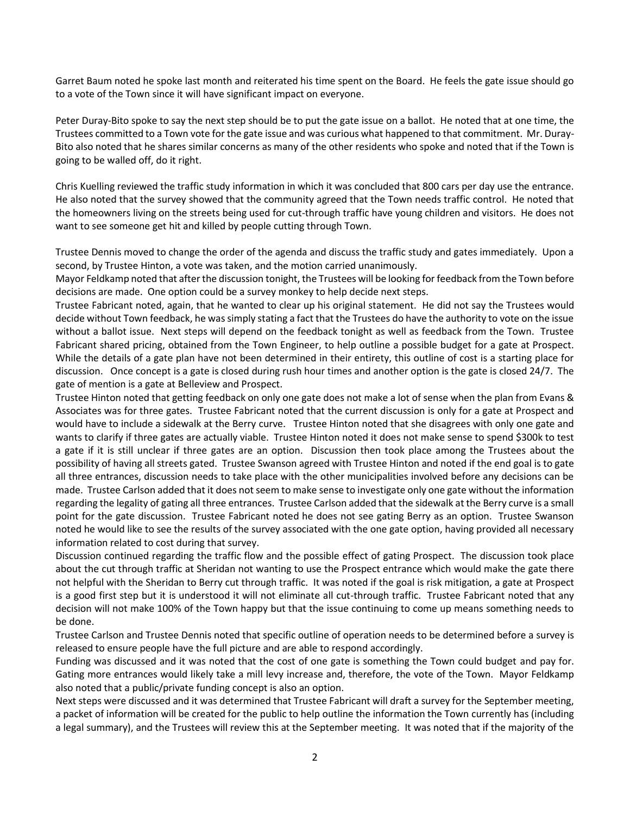Garret Baum noted he spoke last month and reiterated his time spent on the Board. He feels the gate issue should go to a vote of the Town since it will have significant impact on everyone.

Peter Duray-Bito spoke to say the next step should be to put the gate issue on a ballot. He noted that at one time, the Trustees committed to a Town vote for the gate issue and was curious what happened to that commitment. Mr. Duray-Bito also noted that he shares similar concerns as many of the other residents who spoke and noted that if the Town is going to be walled off, do it right.

Chris Kuelling reviewed the traffic study information in which it was concluded that 800 cars per day use the entrance. He also noted that the survey showed that the community agreed that the Town needs traffic control. He noted that the homeowners living on the streets being used for cut-through traffic have young children and visitors. He does not want to see someone get hit and killed by people cutting through Town.

Trustee Dennis moved to change the order of the agenda and discuss the traffic study and gates immediately. Upon a second, by Trustee Hinton, a vote was taken, and the motion carried unanimously.

Mayor Feldkamp noted that after the discussion tonight, the Trustees will be looking for feedback from the Town before decisions are made. One option could be a survey monkey to help decide next steps.

Trustee Fabricant noted, again, that he wanted to clear up his original statement. He did not say the Trustees would decide without Town feedback, he was simply stating a fact that the Trustees do have the authority to vote on the issue without a ballot issue. Next steps will depend on the feedback tonight as well as feedback from the Town. Trustee Fabricant shared pricing, obtained from the Town Engineer, to help outline a possible budget for a gate at Prospect. While the details of a gate plan have not been determined in their entirety, this outline of cost is a starting place for discussion. Once concept is a gate is closed during rush hour times and another option is the gate is closed 24/7. The gate of mention is a gate at Belleview and Prospect.

Trustee Hinton noted that getting feedback on only one gate does not make a lot of sense when the plan from Evans & Associates was for three gates. Trustee Fabricant noted that the current discussion is only for a gate at Prospect and would have to include a sidewalk at the Berry curve. Trustee Hinton noted that she disagrees with only one gate and wants to clarify if three gates are actually viable. Trustee Hinton noted it does not make sense to spend \$300k to test a gate if it is still unclear if three gates are an option. Discussion then took place among the Trustees about the possibility of having all streets gated. Trustee Swanson agreed with Trustee Hinton and noted if the end goal is to gate all three entrances, discussion needs to take place with the other municipalities involved before any decisions can be made. Trustee Carlson added that it does not seem to make sense to investigate only one gate without the information regarding the legality of gating all three entrances. Trustee Carlson added that the sidewalk at the Berry curve is a small point for the gate discussion. Trustee Fabricant noted he does not see gating Berry as an option. Trustee Swanson noted he would like to see the results of the survey associated with the one gate option, having provided all necessary information related to cost during that survey.

Discussion continued regarding the traffic flow and the possible effect of gating Prospect. The discussion took place about the cut through traffic at Sheridan not wanting to use the Prospect entrance which would make the gate there not helpful with the Sheridan to Berry cut through traffic. It was noted if the goal is risk mitigation, a gate at Prospect is a good first step but it is understood it will not eliminate all cut-through traffic. Trustee Fabricant noted that any decision will not make 100% of the Town happy but that the issue continuing to come up means something needs to be done.

Trustee Carlson and Trustee Dennis noted that specific outline of operation needs to be determined before a survey is released to ensure people have the full picture and are able to respond accordingly.

Funding was discussed and it was noted that the cost of one gate is something the Town could budget and pay for. Gating more entrances would likely take a mill levy increase and, therefore, the vote of the Town. Mayor Feldkamp also noted that a public/private funding concept is also an option.

Next steps were discussed and it was determined that Trustee Fabricant will draft a survey for the September meeting, a packet of information will be created for the public to help outline the information the Town currently has (including a legal summary), and the Trustees will review this at the September meeting. It was noted that if the majority of the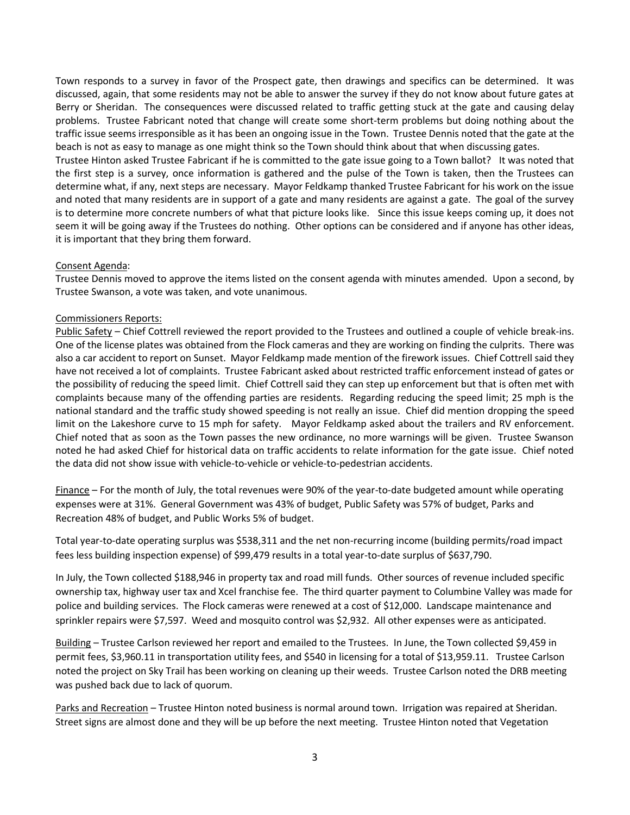Town responds to a survey in favor of the Prospect gate, then drawings and specifics can be determined. It was discussed, again, that some residents may not be able to answer the survey if they do not know about future gates at Berry or Sheridan. The consequences were discussed related to traffic getting stuck at the gate and causing delay problems. Trustee Fabricant noted that change will create some short-term problems but doing nothing about the traffic issue seems irresponsible as it has been an ongoing issue in the Town. Trustee Dennis noted that the gate at the beach is not as easy to manage as one might think so the Town should think about that when discussing gates.

Trustee Hinton asked Trustee Fabricant if he is committed to the gate issue going to a Town ballot? It was noted that the first step is a survey, once information is gathered and the pulse of the Town is taken, then the Trustees can determine what, if any, next steps are necessary. Mayor Feldkamp thanked Trustee Fabricant for his work on the issue and noted that many residents are in support of a gate and many residents are against a gate. The goal of the survey is to determine more concrete numbers of what that picture looks like. Since this issue keeps coming up, it does not seem it will be going away if the Trustees do nothing. Other options can be considered and if anyone has other ideas, it is important that they bring them forward.

## Consent Agenda:

Trustee Dennis moved to approve the items listed on the consent agenda with minutes amended. Upon a second, by Trustee Swanson, a vote was taken, and vote unanimous.

## Commissioners Reports:

Public Safety – Chief Cottrell reviewed the report provided to the Trustees and outlined a couple of vehicle break-ins. One of the license plates was obtained from the Flock cameras and they are working on finding the culprits. There was also a car accident to report on Sunset. Mayor Feldkamp made mention of the firework issues. Chief Cottrell said they have not received a lot of complaints. Trustee Fabricant asked about restricted traffic enforcement instead of gates or the possibility of reducing the speed limit. Chief Cottrell said they can step up enforcement but that is often met with complaints because many of the offending parties are residents. Regarding reducing the speed limit; 25 mph is the national standard and the traffic study showed speeding is not really an issue. Chief did mention dropping the speed limit on the Lakeshore curve to 15 mph for safety. Mayor Feldkamp asked about the trailers and RV enforcement. Chief noted that as soon as the Town passes the new ordinance, no more warnings will be given. Trustee Swanson noted he had asked Chief for historical data on traffic accidents to relate information for the gate issue. Chief noted the data did not show issue with vehicle-to-vehicle or vehicle-to-pedestrian accidents.

Finance – For the month of July, the total revenues were 90% of the year-to-date budgeted amount while operating expenses were at 31%. General Government was 43% of budget, Public Safety was 57% of budget, Parks and Recreation 48% of budget, and Public Works 5% of budget.

Total year-to-date operating surplus was \$538,311 and the net non-recurring income (building permits/road impact fees less building inspection expense) of \$99,479 results in a total year-to-date surplus of \$637,790.

In July, the Town collected \$188,946 in property tax and road mill funds. Other sources of revenue included specific ownership tax, highway user tax and Xcel franchise fee. The third quarter payment to Columbine Valley was made for police and building services. The Flock cameras were renewed at a cost of \$12,000. Landscape maintenance and sprinkler repairs were \$7,597. Weed and mosquito control was \$2,932. All other expenses were as anticipated.

Building – Trustee Carlson reviewed her report and emailed to the Trustees. In June, the Town collected \$9,459 in permit fees, \$3,960.11 in transportation utility fees, and \$540 in licensing for a total of \$13,959.11. Trustee Carlson noted the project on Sky Trail has been working on cleaning up their weeds. Trustee Carlson noted the DRB meeting was pushed back due to lack of quorum.

Parks and Recreation – Trustee Hinton noted business is normal around town. Irrigation was repaired at Sheridan. Street signs are almost done and they will be up before the next meeting. Trustee Hinton noted that Vegetation